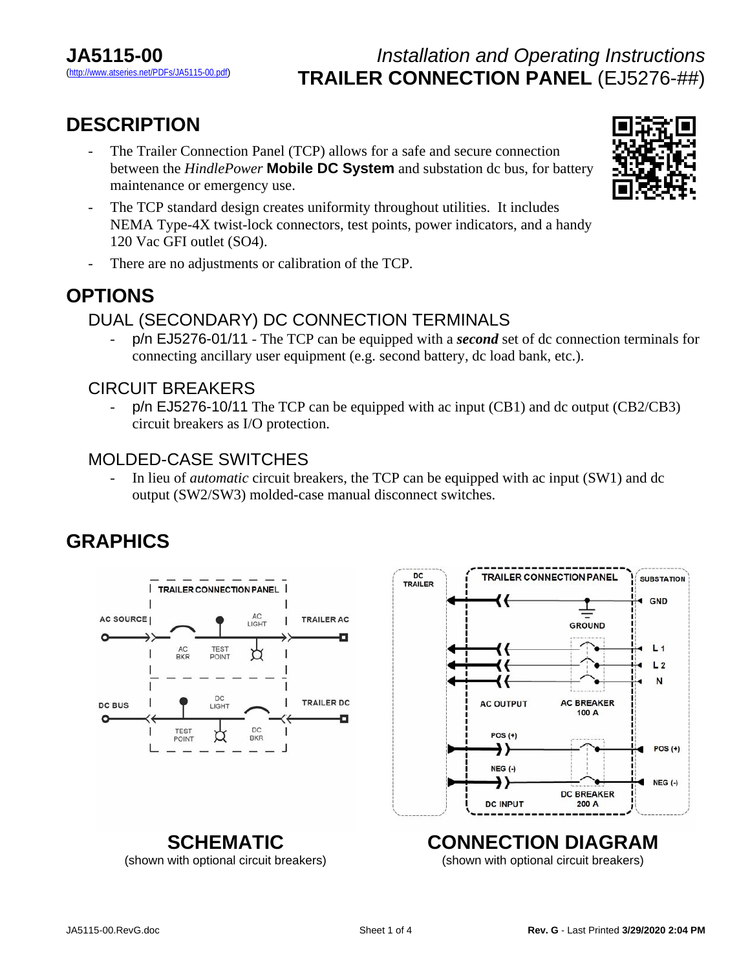# **DESCRIPTION**

- The Trailer Connection Panel (TCP) allows for a safe and secure connection between the *HindlePower* **Mobile DC System** and substation dc bus, for battery maintenance or emergency use.
- The TCP standard design creates uniformity throughout utilities. It includes NEMA Type-4X twist-lock connectors, test points, power indicators, and a handy 120 Vac GFI outlet (SO4).
- There are no adjustments or calibration of the TCP.

### **OPTIONS**

### DUAL (SECONDARY) DC CONNECTION TERMINALS

- p/n EJ5276-01/11 - The TCP can be equipped with a *second* set of dc connection terminals for connecting ancillary user equipment (e.g. second battery, dc load bank, etc.).

#### CIRCUIT BREAKERS

p/n EJ5276-10/11 The TCP can be equipped with ac input (CB1) and dc output (CB2/CB3) circuit breakers as I/O protection.

#### MOLDED-CASE SWITCHES

- In lieu of *automatic* circuit breakers, the TCP can be equipped with ac input (SW1) and dc output (SW2/SW3) molded-case manual disconnect switches.

# **GRAPHICS**





**SUBSTATION** 

 $\triangleleft$  GND

 $1.1$ 

 $L<sub>2</sub>$ N

 $POS(+)$ 

 $NEG$  (-)

GROUND

 $100A$ 

200 A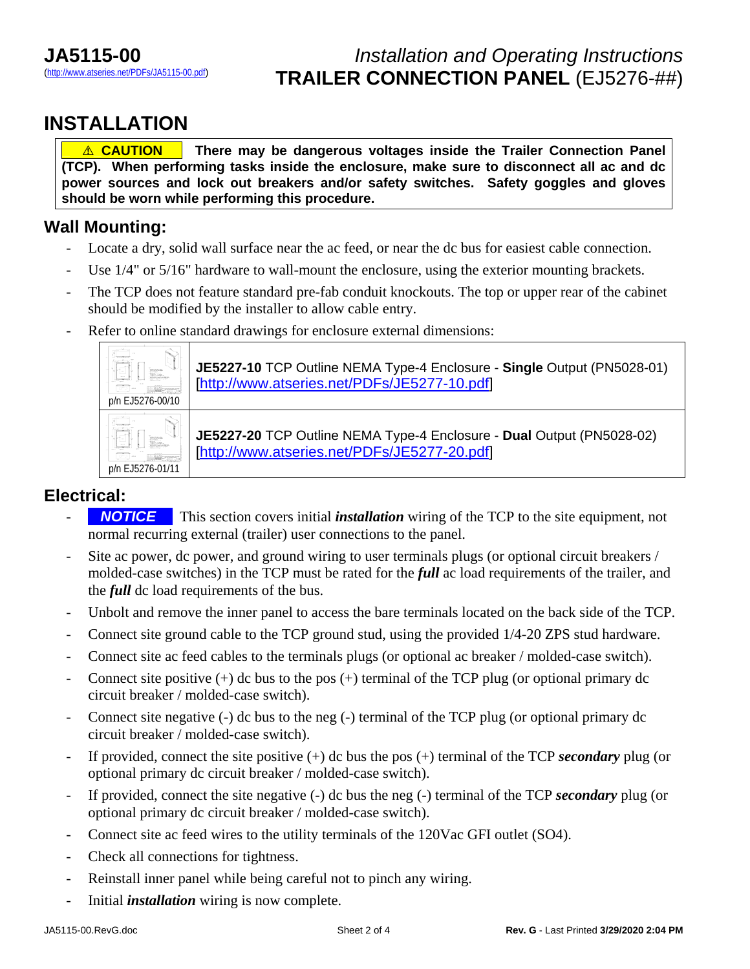### **INSTALLATION**

**<u>A</u>** CAUTION There may be dangerous voltages inside the Trailer Connection Panel **(TCP). When performing tasks inside the enclosure, make sure to disconnect all ac and dc power sources and lock out breakers and/or safety switches. Safety goggles and gloves should be worn while performing this procedure.**

#### **Wall Mounting:**

- Locate a dry, solid wall surface near the ac feed, or near the dc bus for easiest cable connection.
- Use 1/4" or 5/16" hardware to wall-mount the enclosure, using the exterior mounting brackets.
- The TCP does not feature standard pre-fab conduit knockouts. The top or upper rear of the cabinet should be modified by the installer to allow cable entry.
- Refer to online standard drawings for enclosure external dimensions:



#### **Electrical:**

- **NOTICE** This section covers initial *installation* wiring of the TCP to the site equipment, not normal recurring external (trailer) user connections to the panel.
- Site ac power, dc power, and ground wiring to user terminals plugs (or optional circuit breakers / molded-case switches) in the TCP must be rated for the *full* ac load requirements of the trailer, and the *full* dc load requirements of the bus.
- Unbolt and remove the inner panel to access the bare terminals located on the back side of the TCP.
- Connect site ground cable to the TCP ground stud, using the provided  $1/4$ -20 ZPS stud hardware.
- Connect site ac feed cables to the terminals plugs (or optional ac breaker / molded-case switch).
- Connect site positive  $(+)$  dc bus to the pos  $(+)$  terminal of the TCP plug (or optional primary dc circuit breaker / molded-case switch).
- Connect site negative (-) dc bus to the neg (-) terminal of the TCP plug (or optional primary dc circuit breaker / molded-case switch).
- If provided, connect the site positive (+) dc bus the pos (+) terminal of the TCP *secondary* plug (or optional primary dc circuit breaker / molded-case switch).
- If provided, connect the site negative (-) dc bus the neg (-) terminal of the TCP *secondary* plug (or optional primary dc circuit breaker / molded-case switch).
- Connect site ac feed wires to the utility terminals of the 120Vac GFI outlet (SO4).
- Check all connections for tightness.
- Reinstall inner panel while being careful not to pinch any wiring.
- Initial *installation* wiring is now complete.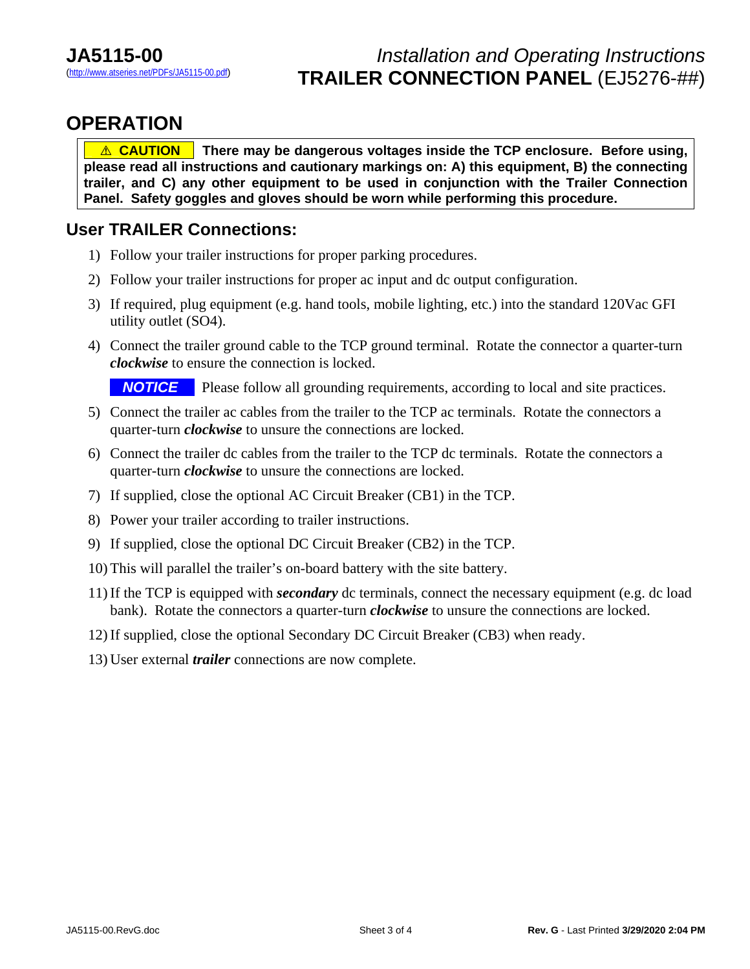### **OPERATION**

*A* **CAUTION There may be dangerous voltages inside the TCP enclosure. Before using, please read all instructions and cautionary markings on: A) this equipment, B) the connecting trailer, and C) any other equipment to be used in conjunction with the Trailer Connection Panel. Safety goggles and gloves should be worn while performing this procedure.** 

#### **User TRAILER Connections:**

- 1) Follow your trailer instructions for proper parking procedures.
- 2) Follow your trailer instructions for proper ac input and dc output configuration.
- 3) If required, plug equipment (e.g. hand tools, mobile lighting, etc.) into the standard 120Vac GFI utility outlet (SO4).
- 4) Connect the trailer ground cable to the TCP ground terminal. Rotate the connector a quarter-turn *clockwise* to ensure the connection is locked.

**NOTICE** Please follow all grounding requirements, according to local and site practices.

- 5) Connect the trailer ac cables from the trailer to the TCP ac terminals. Rotate the connectors a quarter-turn *clockwise* to unsure the connections are locked.
- 6) Connect the trailer dc cables from the trailer to the TCP dc terminals. Rotate the connectors a quarter-turn *clockwise* to unsure the connections are locked.
- 7) If supplied, close the optional AC Circuit Breaker (CB1) in the TCP.
- 8) Power your trailer according to trailer instructions.
- 9) If supplied, close the optional DC Circuit Breaker (CB2) in the TCP.
- 10) This will parallel the trailer's on-board battery with the site battery.
- 11) If the TCP is equipped with *secondary* dc terminals, connect the necessary equipment (e.g. dc load bank). Rotate the connectors a quarter-turn *clockwise* to unsure the connections are locked.
- 12) If supplied, close the optional Secondary DC Circuit Breaker (CB3) when ready.
- 13) User external *trailer* connections are now complete.